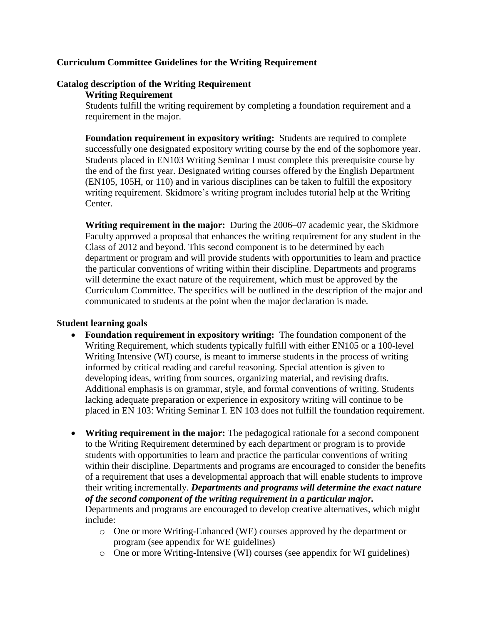#### **Curriculum Committee Guidelines for the Writing Requirement**

# **Catalog description of the Writing Requirement**

#### **Writing Requirement**

Students fulfill the writing requirement by completing a foundation requirement and a requirement in the major.

**Foundation requirement in expository writing:** Students are required to complete successfully one designated expository writing course by the end of the sophomore year. Students placed in EN103 Writing Seminar I must complete this prerequisite course by the end of the first year. Designated writing courses offered by the English Department (EN105, 105H, or 110) and in various disciplines can be taken to fulfill the expository writing requirement. Skidmore's writing program includes tutorial help at the Writing Center.

**Writing requirement in the major:** During the 2006–07 academic year, the Skidmore Faculty approved a proposal that enhances the writing requirement for any student in the Class of 2012 and beyond. This second component is to be determined by each department or program and will provide students with opportunities to learn and practice the particular conventions of writing within their discipline. Departments and programs will determine the exact nature of the requirement, which must be approved by the Curriculum Committee. The specifics will be outlined in the description of the major and communicated to students at the point when the major declaration is made.

## **Student learning goals**

- **Foundation requirement in expository writing:** The foundation component of the Writing Requirement, which students typically fulfill with either EN105 or a 100-level Writing Intensive (WI) course, is meant to immerse students in the process of writing informed by critical reading and careful reasoning. Special attention is given to developing ideas, writing from sources, organizing material, and revising drafts. Additional emphasis is on grammar, style, and formal conventions of writing. Students lacking adequate preparation or experience in expository writing will continue to be placed in EN 103: Writing Seminar I. EN 103 does not fulfill the foundation requirement.
- **Writing requirement in the major:** The pedagogical rationale for a second component to the Writing Requirement determined by each department or program is to provide students with opportunities to learn and practice the particular conventions of writing within their discipline. Departments and programs are encouraged to consider the benefits of a requirement that uses a developmental approach that will enable students to improve their writing incrementally. *Departments and programs will determine the exact nature of the second component of the writing requirement in a particular major.*

Departments and programs are encouraged to develop creative alternatives, which might include:

- o One or more Writing-Enhanced (WE) courses approved by the department or program (see appendix for WE guidelines)
- o One or more Writing-Intensive (WI) courses (see appendix for WI guidelines)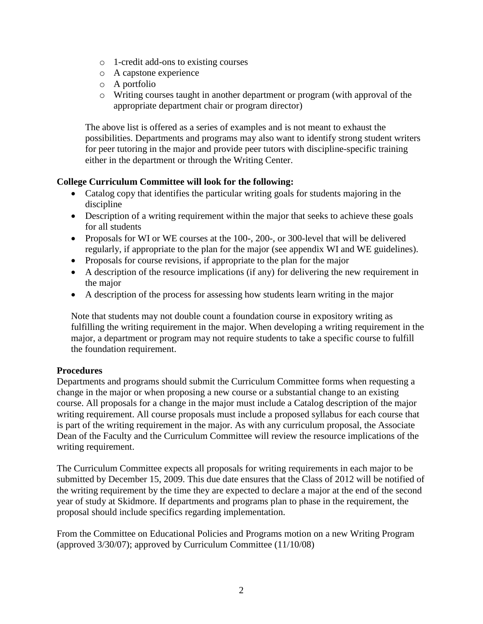- o 1-credit add-ons to existing courses
- o A capstone experience
- o A portfolio
- o Writing courses taught in another department or program (with approval of the appropriate department chair or program director)

The above list is offered as a series of examples and is not meant to exhaust the possibilities. Departments and programs may also want to identify strong student writers for peer tutoring in the major and provide peer tutors with discipline-specific training either in the department or through the Writing Center.

## **College Curriculum Committee will look for the following:**

- Catalog copy that identifies the particular writing goals for students majoring in the discipline
- Description of a writing requirement within the major that seeks to achieve these goals for all students
- Proposals for WI or WE courses at the 100-, 200-, or 300-level that will be delivered regularly, if appropriate to the plan for the major (see appendix WI and WE guidelines).
- Proposals for course revisions, if appropriate to the plan for the major
- A description of the resource implications (if any) for delivering the new requirement in the major
- A description of the process for assessing how students learn writing in the major

Note that students may not double count a foundation course in expository writing as fulfilling the writing requirement in the major. When developing a writing requirement in the major, a department or program may not require students to take a specific course to fulfill the foundation requirement.

## **Procedures**

Departments and programs should submit the Curriculum Committee forms when requesting a change in the major or when proposing a new course or a substantial change to an existing course. All proposals for a change in the major must include a Catalog description of the major writing requirement. All course proposals must include a proposed syllabus for each course that is part of the writing requirement in the major. As with any curriculum proposal, the Associate Dean of the Faculty and the Curriculum Committee will review the resource implications of the writing requirement.

The Curriculum Committee expects all proposals for writing requirements in each major to be submitted by December 15, 2009. This due date ensures that the Class of 2012 will be notified of the writing requirement by the time they are expected to declare a major at the end of the second year of study at Skidmore. If departments and programs plan to phase in the requirement, the proposal should include specifics regarding implementation.

From the Committee on Educational Policies and Programs motion on a new Writing Program (approved 3/30/07); approved by Curriculum Committee (11/10/08)